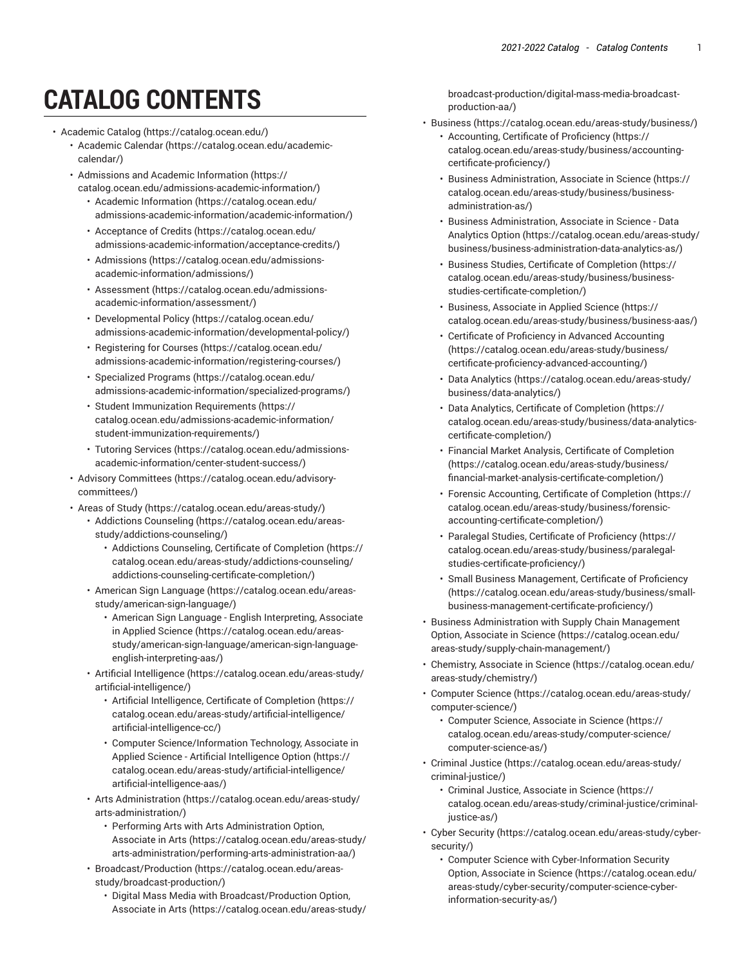## **CATALOG CONTENTS**

- <span id="page-0-0"></span>• [Academic Catalog \(https://catalog.ocean.edu/](https://catalog.ocean.edu/))
	- [Academic Calendar \(https://catalog.ocean.edu/academic](https://catalog.ocean.edu/academic-calendar/)[calendar/](https://catalog.ocean.edu/academic-calendar/))
	- [Admissions and Academic Information \(https://](https://catalog.ocean.edu/admissions-academic-information/) [catalog.ocean.edu/admissions-academic-information/\)](https://catalog.ocean.edu/admissions-academic-information/)
		- [Academic Information](https://catalog.ocean.edu/admissions-academic-information/academic-information/) ([https://catalog.ocean.edu/](https://catalog.ocean.edu/admissions-academic-information/academic-information/) [admissions-academic-information/academic-information/](https://catalog.ocean.edu/admissions-academic-information/academic-information/))
		- [Acceptance](https://catalog.ocean.edu/admissions-academic-information/acceptance-credits/) of Credits ([https://catalog.ocean.edu/](https://catalog.ocean.edu/admissions-academic-information/acceptance-credits/) [admissions-academic-information/acceptance-credits/](https://catalog.ocean.edu/admissions-academic-information/acceptance-credits/))
		- [Admissions](https://catalog.ocean.edu/admissions-academic-information/admissions/) ([https://catalog.ocean.edu/admissions](https://catalog.ocean.edu/admissions-academic-information/admissions/)[academic-information/admissions/](https://catalog.ocean.edu/admissions-academic-information/admissions/))
		- [Assessment \(https://catalog.ocean.edu/admissions](https://catalog.ocean.edu/admissions-academic-information/assessment/)[academic-information/assessment/\)](https://catalog.ocean.edu/admissions-academic-information/assessment/)
		- [Developmental](https://catalog.ocean.edu/admissions-academic-information/developmental-policy/) Policy [\(https://catalog.ocean.edu/](https://catalog.ocean.edu/admissions-academic-information/developmental-policy/) [admissions-academic-information/developmental-policy/\)](https://catalog.ocean.edu/admissions-academic-information/developmental-policy/)
		- [Registering for Courses \(https://catalog.ocean.edu/](https://catalog.ocean.edu/admissions-academic-information/registering-courses/) [admissions-academic-information/registering-courses/\)](https://catalog.ocean.edu/admissions-academic-information/registering-courses/)
		- [Specialized](https://catalog.ocean.edu/admissions-academic-information/specialized-programs/) Programs ([https://catalog.ocean.edu/](https://catalog.ocean.edu/admissions-academic-information/specialized-programs/) [admissions-academic-information/specialized-programs/\)](https://catalog.ocean.edu/admissions-academic-information/specialized-programs/)
		- Student Immunization [Requirements](https://catalog.ocean.edu/admissions-academic-information/student-immunization-requirements/) ([https://](https://catalog.ocean.edu/admissions-academic-information/student-immunization-requirements/) [catalog.ocean.edu/admissions-academic-information/](https://catalog.ocean.edu/admissions-academic-information/student-immunization-requirements/) [student-immunization-requirements/](https://catalog.ocean.edu/admissions-academic-information/student-immunization-requirements/))
		- Tutoring [Services \(https://catalog.ocean.edu/admissions](https://catalog.ocean.edu/admissions-academic-information/center-student-success/)[academic-information/center-student-success/](https://catalog.ocean.edu/admissions-academic-information/center-student-success/))
	- Advisory [Committees](https://catalog.ocean.edu/advisory-committees/) ([https://catalog.ocean.edu/advisory](https://catalog.ocean.edu/advisory-committees/)[committees/](https://catalog.ocean.edu/advisory-committees/))
	- Areas of [Study \(https://catalog.ocean.edu/areas-study/\)](https://catalog.ocean.edu/areas-study/)
		- [Addictions Counseling \(https://catalog.ocean.edu/areas](https://catalog.ocean.edu/areas-study/addictions-counseling/)[study/addictions-counseling/](https://catalog.ocean.edu/areas-study/addictions-counseling/))
			- Addictions [Counseling,](https://catalog.ocean.edu/areas-study/addictions-counseling/addictions-counseling-certificate-completion/) Certificate of Completion [\(https://](https://catalog.ocean.edu/areas-study/addictions-counseling/addictions-counseling-certificate-completion/) [catalog.ocean.edu/areas-study/addictions-counseling/](https://catalog.ocean.edu/areas-study/addictions-counseling/addictions-counseling-certificate-completion/) [addictions-counseling-certificate-completion/\)](https://catalog.ocean.edu/areas-study/addictions-counseling/addictions-counseling-certificate-completion/)
		- [American Sign Language \(https://catalog.ocean.edu/areas](https://catalog.ocean.edu/areas-study/american-sign-language/)[study/american-sign-language/](https://catalog.ocean.edu/areas-study/american-sign-language/))
			- American Sign Language English [Interpreting,](https://catalog.ocean.edu/areas-study/american-sign-language/american-sign-language-english-interpreting-aas/) Associate [in Applied Science](https://catalog.ocean.edu/areas-study/american-sign-language/american-sign-language-english-interpreting-aas/) ([https://catalog.ocean.edu/areas](https://catalog.ocean.edu/areas-study/american-sign-language/american-sign-language-english-interpreting-aas/)[study/american-sign-language/american-sign-language](https://catalog.ocean.edu/areas-study/american-sign-language/american-sign-language-english-interpreting-aas/)[english-interpreting-aas/](https://catalog.ocean.edu/areas-study/american-sign-language/american-sign-language-english-interpreting-aas/))
		- Artificial [Intelligence](https://catalog.ocean.edu/areas-study/artificial-intelligence/) [\(https://catalog.ocean.edu/areas-study/](https://catalog.ocean.edu/areas-study/artificial-intelligence/) [artificial-intelligence/\)](https://catalog.ocean.edu/areas-study/artificial-intelligence/)
			- Artificial [Intelligence,](https://catalog.ocean.edu/areas-study/artificial-intelligence/artificial-intelligence-cc/) Certificate of Completion [\(https://](https://catalog.ocean.edu/areas-study/artificial-intelligence/artificial-intelligence-cc/) [catalog.ocean.edu/areas-study/artificial-intelligence/](https://catalog.ocean.edu/areas-study/artificial-intelligence/artificial-intelligence-cc/) [artificial-intelligence-cc/\)](https://catalog.ocean.edu/areas-study/artificial-intelligence/artificial-intelligence-cc/)
			- Computer [Science/Information](https://catalog.ocean.edu/areas-study/artificial-intelligence/artificial-intelligence-aas/) Technology, Associate in Applied Science - Artificial [Intelligence](https://catalog.ocean.edu/areas-study/artificial-intelligence/artificial-intelligence-aas/) Option ([https://](https://catalog.ocean.edu/areas-study/artificial-intelligence/artificial-intelligence-aas/) [catalog.ocean.edu/areas-study/artificial-intelligence/](https://catalog.ocean.edu/areas-study/artificial-intelligence/artificial-intelligence-aas/) [artificial-intelligence-aas/](https://catalog.ocean.edu/areas-study/artificial-intelligence/artificial-intelligence-aas/))
		- Arts [Administration](https://catalog.ocean.edu/areas-study/arts-administration/) ([https://catalog.ocean.edu/areas-study/](https://catalog.ocean.edu/areas-study/arts-administration/) [arts-administration/](https://catalog.ocean.edu/areas-study/arts-administration/))
			- Performing Arts with Arts [Administration](https://catalog.ocean.edu/areas-study/arts-administration/performing-arts-administration-aa/) Option, [Associate](https://catalog.ocean.edu/areas-study/arts-administration/performing-arts-administration-aa/) in Arts ([https://catalog.ocean.edu/areas-study/](https://catalog.ocean.edu/areas-study/arts-administration/performing-arts-administration-aa/) [arts-administration/performing-arts-administration-aa/\)](https://catalog.ocean.edu/areas-study/arts-administration/performing-arts-administration-aa/)
		- [Broadcast/Production \(https://catalog.ocean.edu/areas](https://catalog.ocean.edu/areas-study/broadcast-production/)[study/broadcast-production/](https://catalog.ocean.edu/areas-study/broadcast-production/))
			- Digital Mass Media with [Broadcast/Production](https://catalog.ocean.edu/areas-study/broadcast-production/digital-mass-media-broadcast-production-aa/) Option, [Associate](https://catalog.ocean.edu/areas-study/broadcast-production/digital-mass-media-broadcast-production-aa/) in Arts ([https://catalog.ocean.edu/areas-study/](https://catalog.ocean.edu/areas-study/broadcast-production/digital-mass-media-broadcast-production-aa/)

[broadcast-production/digital-mass-media-broadcast](https://catalog.ocean.edu/areas-study/broadcast-production/digital-mass-media-broadcast-production-aa/)[production-aa/\)](https://catalog.ocean.edu/areas-study/broadcast-production/digital-mass-media-broadcast-production-aa/)

- [Business](https://catalog.ocean.edu/areas-study/business/) (<https://catalog.ocean.edu/areas-study/business/>)
	- [Accounting,](https://catalog.ocean.edu/areas-study/business/accounting-certificate-proficiency/) Certificate of Proficiency ([https://](https://catalog.ocean.edu/areas-study/business/accounting-certificate-proficiency/) [catalog.ocean.edu/areas-study/business/accounting](https://catalog.ocean.edu/areas-study/business/accounting-certificate-proficiency/)[certificate-proficiency/](https://catalog.ocean.edu/areas-study/business/accounting-certificate-proficiency/))
	- [Business Administration, Associate in Science \(https://](https://catalog.ocean.edu/areas-study/business/business-administration-as/) [catalog.ocean.edu/areas-study/business/business](https://catalog.ocean.edu/areas-study/business/business-administration-as/)[administration-as/\)](https://catalog.ocean.edu/areas-study/business/business-administration-as/)
	- [Business Administration, Associate in Science Data](https://catalog.ocean.edu/areas-study/business/business-administration-data-analytics-as/) [Analytics Option \(https://catalog.ocean.edu/areas-study/](https://catalog.ocean.edu/areas-study/business/business-administration-data-analytics-as/) [business/business-administration-data-analytics-as/](https://catalog.ocean.edu/areas-study/business/business-administration-data-analytics-as/))
	- Business Studies, Certificate of [Completion \(https://](https://catalog.ocean.edu/areas-study/business/business-studies-certificate-completion/) [catalog.ocean.edu/areas-study/business/business](https://catalog.ocean.edu/areas-study/business/business-studies-certificate-completion/)[studies-certificate-completion/](https://catalog.ocean.edu/areas-study/business/business-studies-certificate-completion/))
	- [Business, Associate in Applied Science \(https://](https://catalog.ocean.edu/areas-study/business/business-aas/) [catalog.ocean.edu/areas-study/business/business-aas/](https://catalog.ocean.edu/areas-study/business/business-aas/))
	- Certificate of Proficiency in Advanced [Accounting](https://catalog.ocean.edu/areas-study/business/certificate-proficiency-advanced-accounting/) [\(https://catalog.ocean.edu/areas-study/business/](https://catalog.ocean.edu/areas-study/business/certificate-proficiency-advanced-accounting/) [certificate-proficiency-advanced-accounting/](https://catalog.ocean.edu/areas-study/business/certificate-proficiency-advanced-accounting/))
	- [Data Analytics \(https://catalog.ocean.edu/areas-study/](https://catalog.ocean.edu/areas-study/business/data-analytics/) [business/data-analytics/](https://catalog.ocean.edu/areas-study/business/data-analytics/))
	- Data Analytics, Certificate of [Completion](https://catalog.ocean.edu/areas-study/business/data-analytics-certificate-completion/) [\(https://](https://catalog.ocean.edu/areas-study/business/data-analytics-certificate-completion/) [catalog.ocean.edu/areas-study/business/data-analytics](https://catalog.ocean.edu/areas-study/business/data-analytics-certificate-completion/)[certificate-completion/](https://catalog.ocean.edu/areas-study/business/data-analytics-certificate-completion/))
	- Financial Market Analysis, Certificate of [Completion](https://catalog.ocean.edu/areas-study/business/financial-market-analysis-certificate-completion/) [\(https://catalog.ocean.edu/areas-study/business/](https://catalog.ocean.edu/areas-study/business/financial-market-analysis-certificate-completion/) [financial-market-analysis-certificate-completion/](https://catalog.ocean.edu/areas-study/business/financial-market-analysis-certificate-completion/))
	- Forensic [Accounting,](https://catalog.ocean.edu/areas-study/business/forensic-accounting-certificate-completion/) Certificate of Completion [\(https://](https://catalog.ocean.edu/areas-study/business/forensic-accounting-certificate-completion/) [catalog.ocean.edu/areas-study/business/forensic](https://catalog.ocean.edu/areas-study/business/forensic-accounting-certificate-completion/)[accounting-certificate-completion/\)](https://catalog.ocean.edu/areas-study/business/forensic-accounting-certificate-completion/)
	- Paralegal Studies, Certificate of [Proficiency](https://catalog.ocean.edu/areas-study/business/paralegal-studies-certificate-proficiency/) ([https://](https://catalog.ocean.edu/areas-study/business/paralegal-studies-certificate-proficiency/) [catalog.ocean.edu/areas-study/business/paralegal](https://catalog.ocean.edu/areas-study/business/paralegal-studies-certificate-proficiency/)[studies-certificate-proficiency/](https://catalog.ocean.edu/areas-study/business/paralegal-studies-certificate-proficiency/))
	- Small Business [Management,](https://catalog.ocean.edu/areas-study/business/small-business-management-certificate-proficiency/) Certificate of Proficiency [\(https://catalog.ocean.edu/areas-study/business/small](https://catalog.ocean.edu/areas-study/business/small-business-management-certificate-proficiency/)[business-management-certificate-proficiency/\)](https://catalog.ocean.edu/areas-study/business/small-business-management-certificate-proficiency/)
- [Business Administration with Supply Chain Management](https://catalog.ocean.edu/areas-study/supply-chain-management/) [Option, Associate in Science](https://catalog.ocean.edu/areas-study/supply-chain-management/) [\(https://catalog.ocean.edu/](https://catalog.ocean.edu/areas-study/supply-chain-management/) [areas-study/supply-chain-management/\)](https://catalog.ocean.edu/areas-study/supply-chain-management/)
- [Chemistry,](https://catalog.ocean.edu/areas-study/chemistry/) Associate in Science [\(https://catalog.ocean.edu/](https://catalog.ocean.edu/areas-study/chemistry/) [areas-study/chemistry/\)](https://catalog.ocean.edu/areas-study/chemistry/)
- [Computer Science](https://catalog.ocean.edu/areas-study/computer-science/) ([https://catalog.ocean.edu/areas-study/](https://catalog.ocean.edu/areas-study/computer-science/) [computer-science/](https://catalog.ocean.edu/areas-study/computer-science/))
	- [Computer Science, Associate in Science](https://catalog.ocean.edu/areas-study/computer-science/computer-science-as/) [\(https://](https://catalog.ocean.edu/areas-study/computer-science/computer-science-as/) [catalog.ocean.edu/areas-study/computer-science/](https://catalog.ocean.edu/areas-study/computer-science/computer-science-as/) [computer-science-as/\)](https://catalog.ocean.edu/areas-study/computer-science/computer-science-as/)
- [Criminal Justice](https://catalog.ocean.edu/areas-study/criminal-justice/) [\(https://catalog.ocean.edu/areas-study/](https://catalog.ocean.edu/areas-study/criminal-justice/) [criminal-justice/\)](https://catalog.ocean.edu/areas-study/criminal-justice/)
	- [Criminal Justice, Associate in Science \(https://](https://catalog.ocean.edu/areas-study/criminal-justice/criminal-justice-as/) [catalog.ocean.edu/areas-study/criminal-justice/criminal](https://catalog.ocean.edu/areas-study/criminal-justice/criminal-justice-as/)[justice-as/](https://catalog.ocean.edu/areas-study/criminal-justice/criminal-justice-as/))
- [Cyber Security](https://catalog.ocean.edu/areas-study/cyber-security/) [\(https://catalog.ocean.edu/areas-study/cyber](https://catalog.ocean.edu/areas-study/cyber-security/)[security/](https://catalog.ocean.edu/areas-study/cyber-security/))
	- [Computer Science with Cyber-Information Security](https://catalog.ocean.edu/areas-study/cyber-security/computer-science-cyber-information-security-as/) [Option, Associate in Science](https://catalog.ocean.edu/areas-study/cyber-security/computer-science-cyber-information-security-as/) [\(https://catalog.ocean.edu/](https://catalog.ocean.edu/areas-study/cyber-security/computer-science-cyber-information-security-as/) [areas-study/cyber-security/computer-science-cyber](https://catalog.ocean.edu/areas-study/cyber-security/computer-science-cyber-information-security-as/)[information-security-as/](https://catalog.ocean.edu/areas-study/cyber-security/computer-science-cyber-information-security-as/))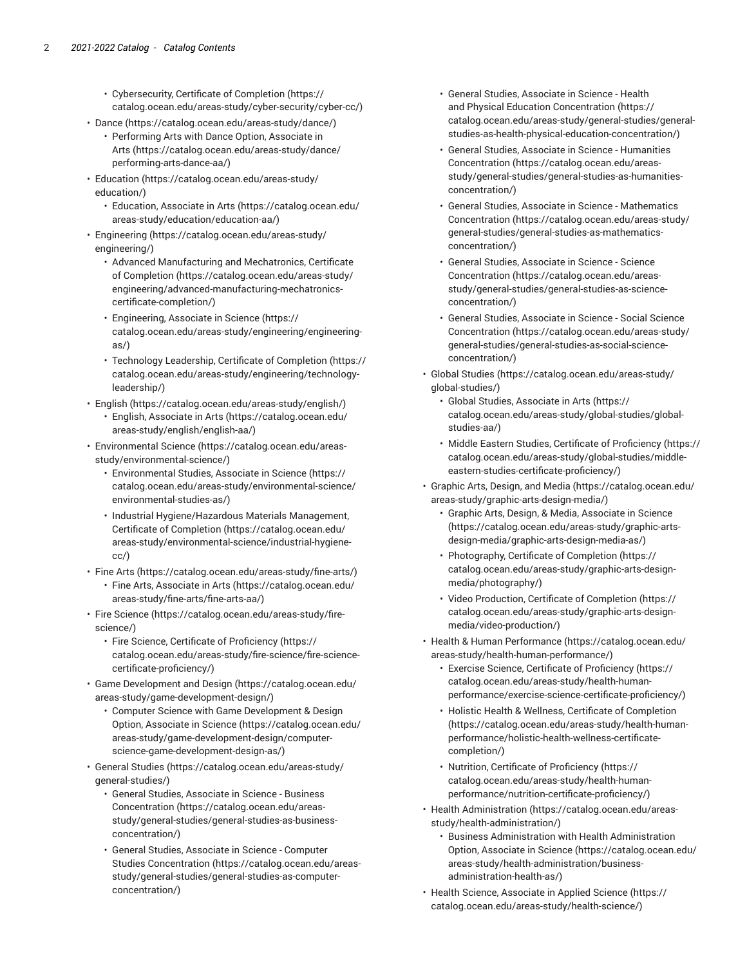- [Cybersecurity,](https://catalog.ocean.edu/areas-study/cyber-security/cyber-cc/) Certificate of Completion [\(https://](https://catalog.ocean.edu/areas-study/cyber-security/cyber-cc/) [catalog.ocean.edu/areas-study/cyber-security/cyber-cc/\)](https://catalog.ocean.edu/areas-study/cyber-security/cyber-cc/)
- [Dance \(https://catalog.ocean.edu/areas-study/dance/](https://catalog.ocean.edu/areas-study/dance/))
	- [Performing](https://catalog.ocean.edu/areas-study/dance/performing-arts-dance-aa/) Arts with Dance Option, Associate in [Arts](https://catalog.ocean.edu/areas-study/dance/performing-arts-dance-aa/) ([https://catalog.ocean.edu/areas-study/dance/](https://catalog.ocean.edu/areas-study/dance/performing-arts-dance-aa/) [performing-arts-dance-aa/](https://catalog.ocean.edu/areas-study/dance/performing-arts-dance-aa/))
- [Education](https://catalog.ocean.edu/areas-study/education/) ([https://catalog.ocean.edu/areas-study/](https://catalog.ocean.edu/areas-study/education/) [education/](https://catalog.ocean.edu/areas-study/education/))
	- [Education,](https://catalog.ocean.edu/areas-study/education/education-aa/) Associate in Arts [\(https://catalog.ocean.edu/](https://catalog.ocean.edu/areas-study/education/education-aa/) [areas-study/education/education-aa/\)](https://catalog.ocean.edu/areas-study/education/education-aa/)
- [Engineering \(https://catalog.ocean.edu/areas-study/](https://catalog.ocean.edu/areas-study/engineering/) [engineering/](https://catalog.ocean.edu/areas-study/engineering/))
	- Advanced [Manufacturing](https://catalog.ocean.edu/areas-study/engineering/advanced-manufacturing-mechatronics-certificate-completion/) and Mechatronics, Certificate [of Completion \(https://catalog.ocean.edu/areas-study/](https://catalog.ocean.edu/areas-study/engineering/advanced-manufacturing-mechatronics-certificate-completion/) [engineering/advanced-manufacturing-mechatronics](https://catalog.ocean.edu/areas-study/engineering/advanced-manufacturing-mechatronics-certificate-completion/)[certificate-completion/](https://catalog.ocean.edu/areas-study/engineering/advanced-manufacturing-mechatronics-certificate-completion/))
	- [Engineering, Associate in Science \(https://](https://catalog.ocean.edu/areas-study/engineering/engineering-as/) [catalog.ocean.edu/areas-study/engineering/engineering](https://catalog.ocean.edu/areas-study/engineering/engineering-as/)[as/\)](https://catalog.ocean.edu/areas-study/engineering/engineering-as/)
	- [Technology](https://catalog.ocean.edu/areas-study/engineering/technology-leadership/) Leadership, Certificate of Completion ([https://](https://catalog.ocean.edu/areas-study/engineering/technology-leadership/) [catalog.ocean.edu/areas-study/engineering/technology](https://catalog.ocean.edu/areas-study/engineering/technology-leadership/)[leadership/\)](https://catalog.ocean.edu/areas-study/engineering/technology-leadership/)
- [English](https://catalog.ocean.edu/areas-study/english/) [\(https://catalog.ocean.edu/areas-study/english/](https://catalog.ocean.edu/areas-study/english/))
	- English, [Associate](https://catalog.ocean.edu/areas-study/english/english-aa/) in Arts ([https://catalog.ocean.edu/](https://catalog.ocean.edu/areas-study/english/english-aa/) [areas-study/english/english-aa/](https://catalog.ocean.edu/areas-study/english/english-aa/))
- [Environmental](https://catalog.ocean.edu/areas-study/environmental-science/) Science ([https://catalog.ocean.edu/areas](https://catalog.ocean.edu/areas-study/environmental-science/)[study/environmental-science/\)](https://catalog.ocean.edu/areas-study/environmental-science/)
	- [Environmental](https://catalog.ocean.edu/areas-study/environmental-science/environmental-studies-as/) Studies, Associate in Science [\(https://](https://catalog.ocean.edu/areas-study/environmental-science/environmental-studies-as/) [catalog.ocean.edu/areas-study/environmental-science/](https://catalog.ocean.edu/areas-study/environmental-science/environmental-studies-as/) [environmental-studies-as/](https://catalog.ocean.edu/areas-study/environmental-science/environmental-studies-as/))
	- Industrial [Hygiene/Hazardous](https://catalog.ocean.edu/areas-study/environmental-science/industrial-hygiene-cc/) Materials Management, Certificate of [Completion](https://catalog.ocean.edu/areas-study/environmental-science/industrial-hygiene-cc/) [\(https://catalog.ocean.edu/](https://catalog.ocean.edu/areas-study/environmental-science/industrial-hygiene-cc/) [areas-study/environmental-science/industrial-hygiene](https://catalog.ocean.edu/areas-study/environmental-science/industrial-hygiene-cc/)[cc/\)](https://catalog.ocean.edu/areas-study/environmental-science/industrial-hygiene-cc/)
- [Fine](https://catalog.ocean.edu/areas-study/fine-arts/) Arts (<https://catalog.ocean.edu/areas-study/fine-arts/>)
	- Fine Arts, [Associate](https://catalog.ocean.edu/areas-study/fine-arts/fine-arts-aa/) in Arts ([https://catalog.ocean.edu/](https://catalog.ocean.edu/areas-study/fine-arts/fine-arts-aa/) [areas-study/fine-arts/fine-arts-aa/](https://catalog.ocean.edu/areas-study/fine-arts/fine-arts-aa/))
- Fire [Science](https://catalog.ocean.edu/areas-study/fire-science/) ([https://catalog.ocean.edu/areas-study/fire](https://catalog.ocean.edu/areas-study/fire-science/)[science/\)](https://catalog.ocean.edu/areas-study/fire-science/)
	- Fire Science, Certificate of [Proficiency \(https://](https://catalog.ocean.edu/areas-study/fire-science/fire-science-certificate-proficiency/) [catalog.ocean.edu/areas-study/fire-science/fire-science](https://catalog.ocean.edu/areas-study/fire-science/fire-science-certificate-proficiency/)[certificate-proficiency/](https://catalog.ocean.edu/areas-study/fire-science/fire-science-certificate-proficiency/))
- Game [Development](https://catalog.ocean.edu/areas-study/game-development-design/) and Design [\(https://catalog.ocean.edu/](https://catalog.ocean.edu/areas-study/game-development-design/) [areas-study/game-development-design/\)](https://catalog.ocean.edu/areas-study/game-development-design/)
	- Computer Science with Game [Development](https://catalog.ocean.edu/areas-study/game-development-design/computer-science-game-development-design-as/) & Design [Option, Associate in Science](https://catalog.ocean.edu/areas-study/game-development-design/computer-science-game-development-design-as/) ([https://catalog.ocean.edu/](https://catalog.ocean.edu/areas-study/game-development-design/computer-science-game-development-design-as/) [areas-study/game-development-design/computer](https://catalog.ocean.edu/areas-study/game-development-design/computer-science-game-development-design-as/)[science-game-development-design-as/](https://catalog.ocean.edu/areas-study/game-development-design/computer-science-game-development-design-as/))
- [General Studies \(https://catalog.ocean.edu/areas-study/](https://catalog.ocean.edu/areas-study/general-studies/) [general-studies/\)](https://catalog.ocean.edu/areas-study/general-studies/)
	- [General Studies, Associate in Science Business](https://catalog.ocean.edu/areas-study/general-studies/general-studies-as-business-concentration/) [Concentration](https://catalog.ocean.edu/areas-study/general-studies/general-studies-as-business-concentration/) ([https://catalog.ocean.edu/areas](https://catalog.ocean.edu/areas-study/general-studies/general-studies-as-business-concentration/)[study/general-studies/general-studies-as-business](https://catalog.ocean.edu/areas-study/general-studies/general-studies-as-business-concentration/)[concentration/](https://catalog.ocean.edu/areas-study/general-studies/general-studies-as-business-concentration/))
	- [General Studies, Associate in Science Computer](https://catalog.ocean.edu/areas-study/general-studies/general-studies-as-computer-concentration/) [Studies Concentration](https://catalog.ocean.edu/areas-study/general-studies/general-studies-as-computer-concentration/) ([https://catalog.ocean.edu/areas](https://catalog.ocean.edu/areas-study/general-studies/general-studies-as-computer-concentration/)[study/general-studies/general-studies-as-computer](https://catalog.ocean.edu/areas-study/general-studies/general-studies-as-computer-concentration/)[concentration/](https://catalog.ocean.edu/areas-study/general-studies/general-studies-as-computer-concentration/))
- [General Studies, Associate in Science Health](https://catalog.ocean.edu/areas-study/general-studies/general-studies-as-health-physical-education-concentration/) and Physical Education [Concentration](https://catalog.ocean.edu/areas-study/general-studies/general-studies-as-health-physical-education-concentration/) [\(https://](https://catalog.ocean.edu/areas-study/general-studies/general-studies-as-health-physical-education-concentration/) [catalog.ocean.edu/areas-study/general-studies/general](https://catalog.ocean.edu/areas-study/general-studies/general-studies-as-health-physical-education-concentration/)[studies-as-health-physical-education-concentration/\)](https://catalog.ocean.edu/areas-study/general-studies/general-studies-as-health-physical-education-concentration/)
- [General Studies, Associate in Science Humanities](https://catalog.ocean.edu/areas-study/general-studies/general-studies-as-humanities-concentration/) [Concentration](https://catalog.ocean.edu/areas-study/general-studies/general-studies-as-humanities-concentration/) ([https://catalog.ocean.edu/areas](https://catalog.ocean.edu/areas-study/general-studies/general-studies-as-humanities-concentration/)[study/general-studies/general-studies-as-humanities](https://catalog.ocean.edu/areas-study/general-studies/general-studies-as-humanities-concentration/)[concentration/\)](https://catalog.ocean.edu/areas-study/general-studies/general-studies-as-humanities-concentration/)
- [General Studies, Associate in Science Mathematics](https://catalog.ocean.edu/areas-study/general-studies/general-studies-as-mathematics-concentration/) [Concentration](https://catalog.ocean.edu/areas-study/general-studies/general-studies-as-mathematics-concentration/) ([https://catalog.ocean.edu/areas-study/](https://catalog.ocean.edu/areas-study/general-studies/general-studies-as-mathematics-concentration/) [general-studies/general-studies-as-mathematics](https://catalog.ocean.edu/areas-study/general-studies/general-studies-as-mathematics-concentration/)[concentration/\)](https://catalog.ocean.edu/areas-study/general-studies/general-studies-as-mathematics-concentration/)
- [General Studies, Associate in Science Science](https://catalog.ocean.edu/areas-study/general-studies/general-studies-as-science-concentration/) [Concentration](https://catalog.ocean.edu/areas-study/general-studies/general-studies-as-science-concentration/) ([https://catalog.ocean.edu/areas](https://catalog.ocean.edu/areas-study/general-studies/general-studies-as-science-concentration/)[study/general-studies/general-studies-as-science](https://catalog.ocean.edu/areas-study/general-studies/general-studies-as-science-concentration/)[concentration/\)](https://catalog.ocean.edu/areas-study/general-studies/general-studies-as-science-concentration/)
- [General Studies, Associate in Science Social Science](https://catalog.ocean.edu/areas-study/general-studies/general-studies-as-social-science-concentration/) [Concentration](https://catalog.ocean.edu/areas-study/general-studies/general-studies-as-social-science-concentration/) ([https://catalog.ocean.edu/areas-study/](https://catalog.ocean.edu/areas-study/general-studies/general-studies-as-social-science-concentration/) [general-studies/general-studies-as-social-science](https://catalog.ocean.edu/areas-study/general-studies/general-studies-as-social-science-concentration/)[concentration/\)](https://catalog.ocean.edu/areas-study/general-studies/general-studies-as-social-science-concentration/)
- [Global Studies \(https://catalog.ocean.edu/areas-study/](https://catalog.ocean.edu/areas-study/global-studies/) [global-studies/](https://catalog.ocean.edu/areas-study/global-studies/))
	- Global Studies, [Associate](https://catalog.ocean.edu/areas-study/global-studies/global-studies-aa/) in Arts ([https://](https://catalog.ocean.edu/areas-study/global-studies/global-studies-aa/) [catalog.ocean.edu/areas-study/global-studies/global](https://catalog.ocean.edu/areas-study/global-studies/global-studies-aa/)[studies-aa/](https://catalog.ocean.edu/areas-study/global-studies/global-studies-aa/))
	- Middle Eastern Studies, Certificate of [Proficiency](https://catalog.ocean.edu/areas-study/global-studies/middle-eastern-studies-certificate-proficiency/) ([https://](https://catalog.ocean.edu/areas-study/global-studies/middle-eastern-studies-certificate-proficiency/) [catalog.ocean.edu/areas-study/global-studies/middle](https://catalog.ocean.edu/areas-study/global-studies/middle-eastern-studies-certificate-proficiency/)[eastern-studies-certificate-proficiency/](https://catalog.ocean.edu/areas-study/global-studies/middle-eastern-studies-certificate-proficiency/))
- [Graphic](https://catalog.ocean.edu/areas-study/graphic-arts-design-media/) Arts, Design, and Media [\(https://catalog.ocean.edu/](https://catalog.ocean.edu/areas-study/graphic-arts-design-media/) [areas-study/graphic-arts-design-media/](https://catalog.ocean.edu/areas-study/graphic-arts-design-media/))
	- Graphic Arts, Design, & Media, [Associate](https://catalog.ocean.edu/areas-study/graphic-arts-design-media/graphic-arts-design-media-as/) in Science [\(https://catalog.ocean.edu/areas-study/graphic-arts](https://catalog.ocean.edu/areas-study/graphic-arts-design-media/graphic-arts-design-media-as/)[design-media/graphic-arts-design-media-as/](https://catalog.ocean.edu/areas-study/graphic-arts-design-media/graphic-arts-design-media-as/))
	- [Photography,](https://catalog.ocean.edu/areas-study/graphic-arts-design-media/photography/) Certificate of Completion ([https://](https://catalog.ocean.edu/areas-study/graphic-arts-design-media/photography/) [catalog.ocean.edu/areas-study/graphic-arts-design](https://catalog.ocean.edu/areas-study/graphic-arts-design-media/photography/)[media/photography/\)](https://catalog.ocean.edu/areas-study/graphic-arts-design-media/photography/)
	- Video [Production,](https://catalog.ocean.edu/areas-study/graphic-arts-design-media/video-production/) Certificate of Completion ([https://](https://catalog.ocean.edu/areas-study/graphic-arts-design-media/video-production/) [catalog.ocean.edu/areas-study/graphic-arts-design](https://catalog.ocean.edu/areas-study/graphic-arts-design-media/video-production/)[media/video-production/\)](https://catalog.ocean.edu/areas-study/graphic-arts-design-media/video-production/)
- Health & Human [Performance \(https://catalog.ocean.edu/](https://catalog.ocean.edu/areas-study/health-human-performance/) [areas-study/health-human-performance/\)](https://catalog.ocean.edu/areas-study/health-human-performance/)
	- Exercise Science, Certificate of [Proficiency \(https://](https://catalog.ocean.edu/areas-study/health-human-performance/exercise-science-certificate-proficiency/) [catalog.ocean.edu/areas-study/health-human](https://catalog.ocean.edu/areas-study/health-human-performance/exercise-science-certificate-proficiency/)[performance/exercise-science-certificate-proficiency/\)](https://catalog.ocean.edu/areas-study/health-human-performance/exercise-science-certificate-proficiency/)
	- Holistic Health & Wellness, Certificate of [Completion](https://catalog.ocean.edu/areas-study/health-human-performance/holistic-health-wellness-certificate-completion/) [\(https://catalog.ocean.edu/areas-study/health-human](https://catalog.ocean.edu/areas-study/health-human-performance/holistic-health-wellness-certificate-completion/)[performance/holistic-health-wellness-certificate](https://catalog.ocean.edu/areas-study/health-human-performance/holistic-health-wellness-certificate-completion/)[completion/](https://catalog.ocean.edu/areas-study/health-human-performance/holistic-health-wellness-certificate-completion/))
	- Nutrition, Certificate of [Proficiency \(https://](https://catalog.ocean.edu/areas-study/health-human-performance/nutrition-certificate-proficiency/) [catalog.ocean.edu/areas-study/health-human](https://catalog.ocean.edu/areas-study/health-human-performance/nutrition-certificate-proficiency/)[performance/nutrition-certificate-proficiency/](https://catalog.ocean.edu/areas-study/health-human-performance/nutrition-certificate-proficiency/))
- [Health Administration](https://catalog.ocean.edu/areas-study/health-administration/) ([https://catalog.ocean.edu/areas](https://catalog.ocean.edu/areas-study/health-administration/)[study/health-administration/](https://catalog.ocean.edu/areas-study/health-administration/))
	- [Business Administration with Health Administration](https://catalog.ocean.edu/areas-study/health-administration/business-administration-health-as/) [Option, Associate in Science](https://catalog.ocean.edu/areas-study/health-administration/business-administration-health-as/) [\(https://catalog.ocean.edu/](https://catalog.ocean.edu/areas-study/health-administration/business-administration-health-as/) [areas-study/health-administration/business](https://catalog.ocean.edu/areas-study/health-administration/business-administration-health-as/)[administration-health-as/\)](https://catalog.ocean.edu/areas-study/health-administration/business-administration-health-as/)
- [Health Science, Associate in Applied Science \(https://](https://catalog.ocean.edu/areas-study/health-science/) [catalog.ocean.edu/areas-study/health-science/](https://catalog.ocean.edu/areas-study/health-science/))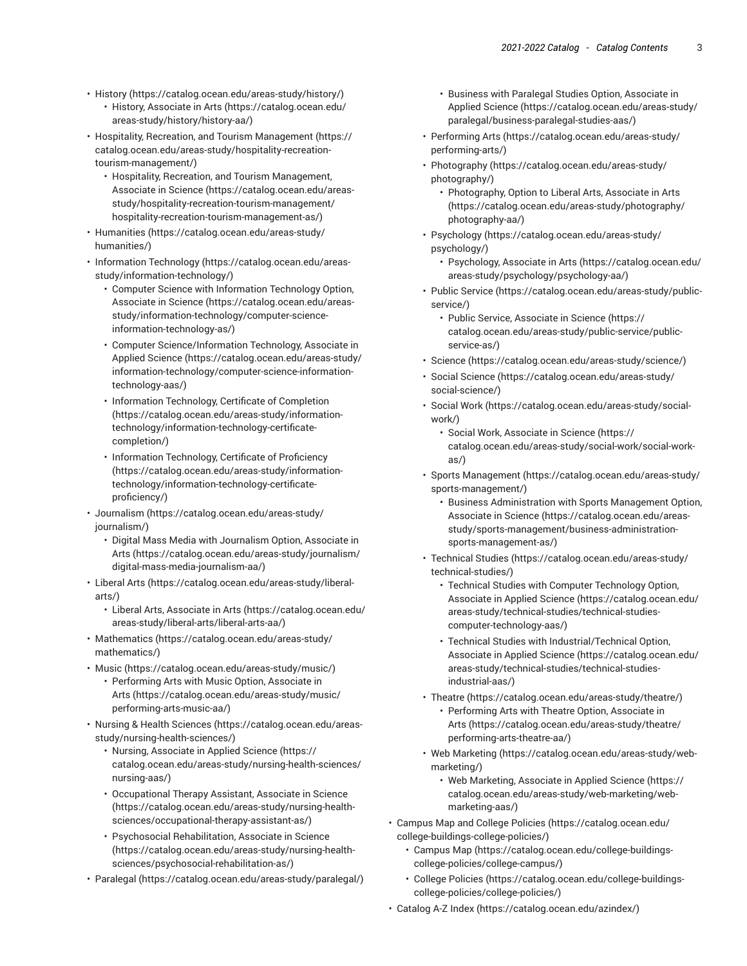- [History](https://catalog.ocean.edu/areas-study/history/) (<https://catalog.ocean.edu/areas-study/history/>)
	- History, [Associate](https://catalog.ocean.edu/areas-study/history/history-aa/) in Arts ([https://catalog.ocean.edu/](https://catalog.ocean.edu/areas-study/history/history-aa/) [areas-study/history/history-aa/\)](https://catalog.ocean.edu/areas-study/history/history-aa/)
- Hospitality, Recreation, and Tourism [Management \(https://](https://catalog.ocean.edu/areas-study/hospitality-recreation-tourism-management/) [catalog.ocean.edu/areas-study/hospitality-recreation](https://catalog.ocean.edu/areas-study/hospitality-recreation-tourism-management/)[tourism-management/\)](https://catalog.ocean.edu/areas-study/hospitality-recreation-tourism-management/)
	- Hospitality, Recreation, and Tourism [Management,](https://catalog.ocean.edu/areas-study/hospitality-recreation-tourism-management/hospitality-recreation-tourism-management-as/) [Associate in Science \(https://catalog.ocean.edu/areas](https://catalog.ocean.edu/areas-study/hospitality-recreation-tourism-management/hospitality-recreation-tourism-management-as/)[study/hospitality-recreation-tourism-management/](https://catalog.ocean.edu/areas-study/hospitality-recreation-tourism-management/hospitality-recreation-tourism-management-as/) [hospitality-recreation-tourism-management-as/](https://catalog.ocean.edu/areas-study/hospitality-recreation-tourism-management/hospitality-recreation-tourism-management-as/))
- [Humanities](https://catalog.ocean.edu/areas-study/humanities/) ([https://catalog.ocean.edu/areas-study/](https://catalog.ocean.edu/areas-study/humanities/) [humanities/\)](https://catalog.ocean.edu/areas-study/humanities/)
- [Information](https://catalog.ocean.edu/areas-study/information-technology/) Technology [\(https://catalog.ocean.edu/areas](https://catalog.ocean.edu/areas-study/information-technology/)[study/information-technology/\)](https://catalog.ocean.edu/areas-study/information-technology/)
	- Computer Science with [Information](https://catalog.ocean.edu/areas-study/information-technology/computer-science-information-technology-as/) Technology Option, [Associate in Science \(https://catalog.ocean.edu/areas](https://catalog.ocean.edu/areas-study/information-technology/computer-science-information-technology-as/)[study/information-technology/computer-science](https://catalog.ocean.edu/areas-study/information-technology/computer-science-information-technology-as/)[information-technology-as/](https://catalog.ocean.edu/areas-study/information-technology/computer-science-information-technology-as/))
	- Computer [Science/Information](https://catalog.ocean.edu/areas-study/information-technology/computer-science-information-technology-aas/) Technology, Associate in [Applied Science](https://catalog.ocean.edu/areas-study/information-technology/computer-science-information-technology-aas/) [\(https://catalog.ocean.edu/areas-study/](https://catalog.ocean.edu/areas-study/information-technology/computer-science-information-technology-aas/) [information-technology/computer-science-information](https://catalog.ocean.edu/areas-study/information-technology/computer-science-information-technology-aas/)[technology-aas/](https://catalog.ocean.edu/areas-study/information-technology/computer-science-information-technology-aas/))
	- Information [Technology,](https://catalog.ocean.edu/areas-study/information-technology/information-technology-certificate-completion/) Certificate of Completion ([https://catalog.ocean.edu/areas-study/information](https://catalog.ocean.edu/areas-study/information-technology/information-technology-certificate-completion/)[technology/information-technology-certificate](https://catalog.ocean.edu/areas-study/information-technology/information-technology-certificate-completion/)[completion/\)](https://catalog.ocean.edu/areas-study/information-technology/information-technology-certificate-completion/)
	- Information [Technology,](https://catalog.ocean.edu/areas-study/information-technology/information-technology-certificate-proficiency/) Certificate of Proficiency ([https://catalog.ocean.edu/areas-study/information](https://catalog.ocean.edu/areas-study/information-technology/information-technology-certificate-proficiency/)[technology/information-technology-certificate](https://catalog.ocean.edu/areas-study/information-technology/information-technology-certificate-proficiency/)[proficiency/\)](https://catalog.ocean.edu/areas-study/information-technology/information-technology-certificate-proficiency/)
- [Journalism](https://catalog.ocean.edu/areas-study/journalism/) ([https://catalog.ocean.edu/areas-study/](https://catalog.ocean.edu/areas-study/journalism/) [journalism/](https://catalog.ocean.edu/areas-study/journalism/))
	- [Digital Mass Media with Journalism Option, Associate in](https://catalog.ocean.edu/areas-study/journalism/digital-mass-media-journalism-aa/) [Arts](https://catalog.ocean.edu/areas-study/journalism/digital-mass-media-journalism-aa/) ([https://catalog.ocean.edu/areas-study/journalism/](https://catalog.ocean.edu/areas-study/journalism/digital-mass-media-journalism-aa/) [digital-mass-media-journalism-aa/](https://catalog.ocean.edu/areas-study/journalism/digital-mass-media-journalism-aa/))
- [Liberal](https://catalog.ocean.edu/areas-study/liberal-arts/) Arts ([https://catalog.ocean.edu/areas-study/liberal](https://catalog.ocean.edu/areas-study/liberal-arts/)[arts/](https://catalog.ocean.edu/areas-study/liberal-arts/))
	- Liberal Arts, [Associate](https://catalog.ocean.edu/areas-study/liberal-arts/liberal-arts-aa/) in Arts [\(https://catalog.ocean.edu/](https://catalog.ocean.edu/areas-study/liberal-arts/liberal-arts-aa/) [areas-study/liberal-arts/liberal-arts-aa/](https://catalog.ocean.edu/areas-study/liberal-arts/liberal-arts-aa/))
- [Mathematics \(https://catalog.ocean.edu/areas-study/](https://catalog.ocean.edu/areas-study/mathematics/) [mathematics/\)](https://catalog.ocean.edu/areas-study/mathematics/)
- [Music](https://catalog.ocean.edu/areas-study/music/) (<https://catalog.ocean.edu/areas-study/music/>)
	- [Performing](https://catalog.ocean.edu/areas-study/music/performing-arts-music-aa/) Arts with Music Option, Associate in [Arts](https://catalog.ocean.edu/areas-study/music/performing-arts-music-aa/) ([https://catalog.ocean.edu/areas-study/music/](https://catalog.ocean.edu/areas-study/music/performing-arts-music-aa/) [performing-arts-music-aa/](https://catalog.ocean.edu/areas-study/music/performing-arts-music-aa/))
- [Nursing & Health Sciences](https://catalog.ocean.edu/areas-study/nursing-health-sciences/) [\(https://catalog.ocean.edu/areas](https://catalog.ocean.edu/areas-study/nursing-health-sciences/)[study/nursing-health-sciences/](https://catalog.ocean.edu/areas-study/nursing-health-sciences/))
	- [Nursing, Associate in Applied Science \(https://](https://catalog.ocean.edu/areas-study/nursing-health-sciences/nursing-aas/) [catalog.ocean.edu/areas-study/nursing-health-sciences/](https://catalog.ocean.edu/areas-study/nursing-health-sciences/nursing-aas/) [nursing-aas/\)](https://catalog.ocean.edu/areas-study/nursing-health-sciences/nursing-aas/)
	- [Occupational](https://catalog.ocean.edu/areas-study/nursing-health-sciences/occupational-therapy-assistant-as/) Therapy Assistant, Associate in Science ([https://catalog.ocean.edu/areas-study/nursing-health](https://catalog.ocean.edu/areas-study/nursing-health-sciences/occupational-therapy-assistant-as/)[sciences/occupational-therapy-assistant-as/\)](https://catalog.ocean.edu/areas-study/nursing-health-sciences/occupational-therapy-assistant-as/)
	- Psychosocial [Rehabilitation,](https://catalog.ocean.edu/areas-study/nursing-health-sciences/psychosocial-rehabilitation-as/) Associate in Science ([https://catalog.ocean.edu/areas-study/nursing-health](https://catalog.ocean.edu/areas-study/nursing-health-sciences/psychosocial-rehabilitation-as/)[sciences/psychosocial-rehabilitation-as/](https://catalog.ocean.edu/areas-study/nursing-health-sciences/psychosocial-rehabilitation-as/))
- [Paralegal \(https://catalog.ocean.edu/areas-study/paralegal/\)](https://catalog.ocean.edu/areas-study/paralegal/)
- Business with Paralegal Studies Option, [Associate](https://catalog.ocean.edu/areas-study/paralegal/business-paralegal-studies-aas/) in [Applied Science](https://catalog.ocean.edu/areas-study/paralegal/business-paralegal-studies-aas/) ([https://catalog.ocean.edu/areas-study/](https://catalog.ocean.edu/areas-study/paralegal/business-paralegal-studies-aas/) [paralegal/business-paralegal-studies-aas/\)](https://catalog.ocean.edu/areas-study/paralegal/business-paralegal-studies-aas/)
- [Performing](https://catalog.ocean.edu/areas-study/performing-arts/) Arts [\(https://catalog.ocean.edu/areas-study/](https://catalog.ocean.edu/areas-study/performing-arts/) [performing-arts/\)](https://catalog.ocean.edu/areas-study/performing-arts/)
- [Photography \(https://catalog.ocean.edu/areas-study/](https://catalog.ocean.edu/areas-study/photography/) [photography/](https://catalog.ocean.edu/areas-study/photography/))
	- [Photography,](https://catalog.ocean.edu/areas-study/photography/photography-aa/) Option to Liberal Arts, Associate in Arts [\(https://catalog.ocean.edu/areas-study/photography/](https://catalog.ocean.edu/areas-study/photography/photography-aa/) [photography-aa/](https://catalog.ocean.edu/areas-study/photography/photography-aa/))
- [Psychology](https://catalog.ocean.edu/areas-study/psychology/) ([https://catalog.ocean.edu/areas-study/](https://catalog.ocean.edu/areas-study/psychology/) [psychology/\)](https://catalog.ocean.edu/areas-study/psychology/)
	- [Psychology,](https://catalog.ocean.edu/areas-study/psychology/psychology-aa/) Associate in Arts ([https://catalog.ocean.edu/](https://catalog.ocean.edu/areas-study/psychology/psychology-aa/) [areas-study/psychology/psychology-aa/\)](https://catalog.ocean.edu/areas-study/psychology/psychology-aa/)
- Public [Service](https://catalog.ocean.edu/areas-study/public-service/) ([https://catalog.ocean.edu/areas-study/public](https://catalog.ocean.edu/areas-study/public-service/)[service/](https://catalog.ocean.edu/areas-study/public-service/))
	- Public Service, [Associate](https://catalog.ocean.edu/areas-study/public-service/public-service-as/) in Science [\(https://](https://catalog.ocean.edu/areas-study/public-service/public-service-as/) [catalog.ocean.edu/areas-study/public-service/public](https://catalog.ocean.edu/areas-study/public-service/public-service-as/)[service-as/](https://catalog.ocean.edu/areas-study/public-service/public-service-as/))
- [Science \(https://catalog.ocean.edu/areas-study/science/](https://catalog.ocean.edu/areas-study/science/))
- [Social Science](https://catalog.ocean.edu/areas-study/social-science/) ([https://catalog.ocean.edu/areas-study/](https://catalog.ocean.edu/areas-study/social-science/) [social-science/\)](https://catalog.ocean.edu/areas-study/social-science/)
- [Social](https://catalog.ocean.edu/areas-study/social-work/) Work ([https://catalog.ocean.edu/areas-study/social](https://catalog.ocean.edu/areas-study/social-work/)[work/](https://catalog.ocean.edu/areas-study/social-work/))
	- Social Work, [Associate](https://catalog.ocean.edu/areas-study/social-work/social-work-as/) in Science ([https://](https://catalog.ocean.edu/areas-study/social-work/social-work-as/) [catalog.ocean.edu/areas-study/social-work/social-work](https://catalog.ocean.edu/areas-study/social-work/social-work-as/)[as/](https://catalog.ocean.edu/areas-study/social-work/social-work-as/))
- Sports [Management \(https://catalog.ocean.edu/areas-study/](https://catalog.ocean.edu/areas-study/sports-management/) [sports-management/\)](https://catalog.ocean.edu/areas-study/sports-management/)
	- Business [Administration](https://catalog.ocean.edu/areas-study/sports-management/business-administration-sports-management-as/) with Sports Management Option, [Associate in Science](https://catalog.ocean.edu/areas-study/sports-management/business-administration-sports-management-as/) ([https://catalog.ocean.edu/areas](https://catalog.ocean.edu/areas-study/sports-management/business-administration-sports-management-as/)[study/sports-management/business-administration](https://catalog.ocean.edu/areas-study/sports-management/business-administration-sports-management-as/)[sports-management-as/](https://catalog.ocean.edu/areas-study/sports-management/business-administration-sports-management-as/))
- [Technical](https://catalog.ocean.edu/areas-study/technical-studies/) Studies ([https://catalog.ocean.edu/areas-study/](https://catalog.ocean.edu/areas-study/technical-studies/) [technical-studies/](https://catalog.ocean.edu/areas-study/technical-studies/))
	- Technical Studies with Computer [Technology](https://catalog.ocean.edu/areas-study/technical-studies/technical-studies-computer-technology-aas/) Option, [Associate in Applied Science](https://catalog.ocean.edu/areas-study/technical-studies/technical-studies-computer-technology-aas/) ([https://catalog.ocean.edu/](https://catalog.ocean.edu/areas-study/technical-studies/technical-studies-computer-technology-aas/) [areas-study/technical-studies/technical-studies](https://catalog.ocean.edu/areas-study/technical-studies/technical-studies-computer-technology-aas/)[computer-technology-aas/\)](https://catalog.ocean.edu/areas-study/technical-studies/technical-studies-computer-technology-aas/)
	- Technical Studies with [Industrial/Technical](https://catalog.ocean.edu/areas-study/technical-studies/technical-studies-industrial-aas/) Option, [Associate in Applied Science](https://catalog.ocean.edu/areas-study/technical-studies/technical-studies-industrial-aas/) ([https://catalog.ocean.edu/](https://catalog.ocean.edu/areas-study/technical-studies/technical-studies-industrial-aas/) [areas-study/technical-studies/technical-studies](https://catalog.ocean.edu/areas-study/technical-studies/technical-studies-industrial-aas/)[industrial-aas/\)](https://catalog.ocean.edu/areas-study/technical-studies/technical-studies-industrial-aas/)
- [Theatre](https://catalog.ocean.edu/areas-study/theatre/) ([https://catalog.ocean.edu/areas-study/theatre/\)](https://catalog.ocean.edu/areas-study/theatre/)
	- [Performing](https://catalog.ocean.edu/areas-study/theatre/performing-arts-theatre-aa/) Arts with Theatre Option, Associate in [Arts](https://catalog.ocean.edu/areas-study/theatre/performing-arts-theatre-aa/) ([https://catalog.ocean.edu/areas-study/theatre/](https://catalog.ocean.edu/areas-study/theatre/performing-arts-theatre-aa/) [performing-arts-theatre-aa/](https://catalog.ocean.edu/areas-study/theatre/performing-arts-theatre-aa/))
- Web [Marketing](https://catalog.ocean.edu/areas-study/web-marketing/) ([https://catalog.ocean.edu/areas-study/web](https://catalog.ocean.edu/areas-study/web-marketing/)[marketing/\)](https://catalog.ocean.edu/areas-study/web-marketing/)
	- Web [Marketing,](https://catalog.ocean.edu/areas-study/web-marketing/web-marketing-aas/) Associate in Applied Science [\(https://](https://catalog.ocean.edu/areas-study/web-marketing/web-marketing-aas/) [catalog.ocean.edu/areas-study/web-marketing/web](https://catalog.ocean.edu/areas-study/web-marketing/web-marketing-aas/)[marketing-aas/](https://catalog.ocean.edu/areas-study/web-marketing/web-marketing-aas/))
- [Campus](https://catalog.ocean.edu/college-buildings-college-policies/) Map and College Policies [\(https://catalog.ocean.edu/](https://catalog.ocean.edu/college-buildings-college-policies/) [college-buildings-college-policies/\)](https://catalog.ocean.edu/college-buildings-college-policies/)
	- [Campus Map](https://catalog.ocean.edu/college-buildings-college-policies/college-campus/) ([https://catalog.ocean.edu/college-buildings](https://catalog.ocean.edu/college-buildings-college-policies/college-campus/)[college-policies/college-campus/\)](https://catalog.ocean.edu/college-buildings-college-policies/college-campus/)
	- College [Policies](https://catalog.ocean.edu/college-buildings-college-policies/college-policies/) ([https://catalog.ocean.edu/college-buildings](https://catalog.ocean.edu/college-buildings-college-policies/college-policies/)[college-policies/college-policies/](https://catalog.ocean.edu/college-buildings-college-policies/college-policies/))
- [Catalog A-Z Index \(https://catalog.ocean.edu/azindex/\)](https://catalog.ocean.edu/azindex/)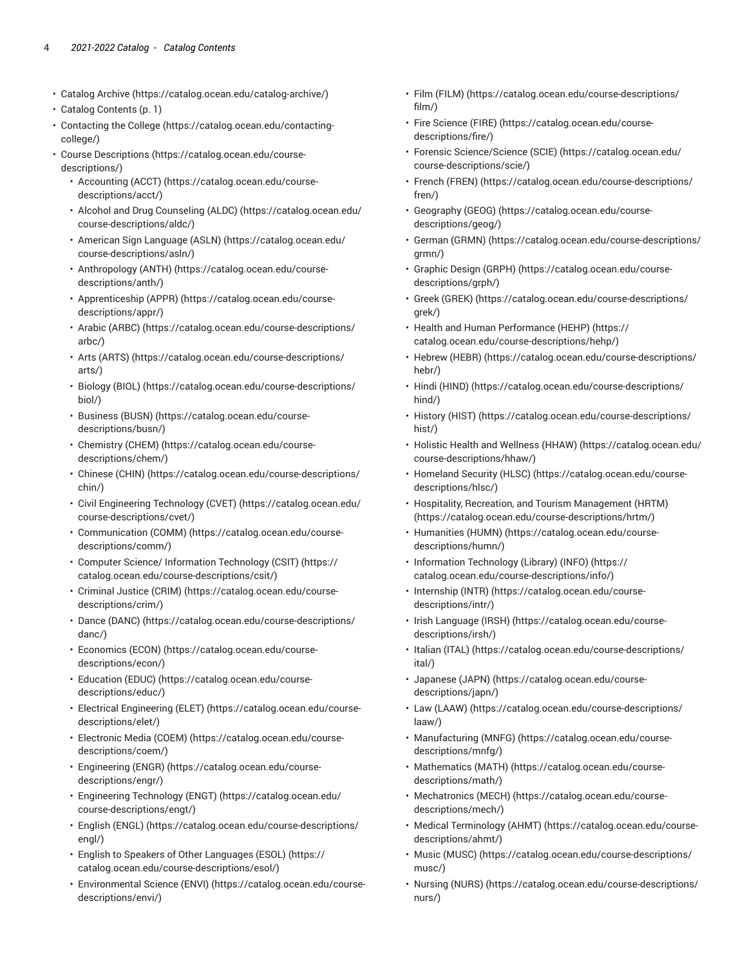- [Catalog](https://catalog.ocean.edu/catalog-archive/) Archive [\(https://catalog.ocean.edu/catalog-archive/\)](https://catalog.ocean.edu/catalog-archive/)
- [Catalog Contents](#page-0-0) ([p. 1](#page-0-0))
- [Contacting the College \(https://catalog.ocean.edu/contacting](https://catalog.ocean.edu/contacting-college/)[college/](https://catalog.ocean.edu/contacting-college/))
- [Course Descriptions](https://catalog.ocean.edu/course-descriptions/) [\(https://catalog.ocean.edu/course](https://catalog.ocean.edu/course-descriptions/)[descriptions/\)](https://catalog.ocean.edu/course-descriptions/)
	- [Accounting](https://catalog.ocean.edu/course-descriptions/acct/) (ACCT) ([https://catalog.ocean.edu/course](https://catalog.ocean.edu/course-descriptions/acct/)[descriptions/acct/\)](https://catalog.ocean.edu/course-descriptions/acct/)
	- Alcohol and Drug [Counseling](https://catalog.ocean.edu/course-descriptions/aldc/) (ALDC) [\(https://catalog.ocean.edu/](https://catalog.ocean.edu/course-descriptions/aldc/) [course-descriptions/aldc/\)](https://catalog.ocean.edu/course-descriptions/aldc/)
	- [American Sign Language \(ASLN\)](https://catalog.ocean.edu/course-descriptions/asln/) ([https://catalog.ocean.edu/](https://catalog.ocean.edu/course-descriptions/asln/) [course-descriptions/asln/\)](https://catalog.ocean.edu/course-descriptions/asln/)
	- [Anthropology](https://catalog.ocean.edu/course-descriptions/anth/) (ANTH) ([https://catalog.ocean.edu/course](https://catalog.ocean.edu/course-descriptions/anth/)[descriptions/anth/](https://catalog.ocean.edu/course-descriptions/anth/))
	- [Apprenticeship](https://catalog.ocean.edu/course-descriptions/appr/) (APPR) ([https://catalog.ocean.edu/course](https://catalog.ocean.edu/course-descriptions/appr/)[descriptions/appr/](https://catalog.ocean.edu/course-descriptions/appr/))
	- Arabic [\(ARBC\)](https://catalog.ocean.edu/course-descriptions/arbc/) ([https://catalog.ocean.edu/course-descriptions/](https://catalog.ocean.edu/course-descriptions/arbc/) [arbc/](https://catalog.ocean.edu/course-descriptions/arbc/))
	- Arts [\(ARTS\)](https://catalog.ocean.edu/course-descriptions/arts/) ([https://catalog.ocean.edu/course-descriptions/](https://catalog.ocean.edu/course-descriptions/arts/) [arts/](https://catalog.ocean.edu/course-descriptions/arts/))
	- [Biology \(BIOL\)](https://catalog.ocean.edu/course-descriptions/biol/) ([https://catalog.ocean.edu/course-descriptions/](https://catalog.ocean.edu/course-descriptions/biol/) [biol/](https://catalog.ocean.edu/course-descriptions/biol/))
	- [Business \(BUSN\)](https://catalog.ocean.edu/course-descriptions/busn/) [\(https://catalog.ocean.edu/course](https://catalog.ocean.edu/course-descriptions/busn/)[descriptions/busn/\)](https://catalog.ocean.edu/course-descriptions/busn/)
	- [Chemistry](https://catalog.ocean.edu/course-descriptions/chem/) (CHEM) ([https://catalog.ocean.edu/course](https://catalog.ocean.edu/course-descriptions/chem/)[descriptions/chem/](https://catalog.ocean.edu/course-descriptions/chem/))
	- [Chinese \(CHIN\) \(https://catalog.ocean.edu/course-descriptions/](https://catalog.ocean.edu/course-descriptions/chin/) [chin/\)](https://catalog.ocean.edu/course-descriptions/chin/)
	- Civil [Engineering](https://catalog.ocean.edu/course-descriptions/cvet/) Technology (CVET) ([https://catalog.ocean.edu/](https://catalog.ocean.edu/course-descriptions/cvet/) [course-descriptions/cvet/\)](https://catalog.ocean.edu/course-descriptions/cvet/)
	- [Communication \(COMM\)](https://catalog.ocean.edu/course-descriptions/comm/) ([https://catalog.ocean.edu/course](https://catalog.ocean.edu/course-descriptions/comm/)[descriptions/comm/\)](https://catalog.ocean.edu/course-descriptions/comm/)
	- Computer Science/ [Information](https://catalog.ocean.edu/course-descriptions/csit/) Technology (CSIT) ([https://](https://catalog.ocean.edu/course-descriptions/csit/) [catalog.ocean.edu/course-descriptions/csit/\)](https://catalog.ocean.edu/course-descriptions/csit/)
	- [Criminal Justice \(CRIM\)](https://catalog.ocean.edu/course-descriptions/crim/) ([https://catalog.ocean.edu/course](https://catalog.ocean.edu/course-descriptions/crim/)[descriptions/crim/](https://catalog.ocean.edu/course-descriptions/crim/))
	- Dance [\(DANC\)](https://catalog.ocean.edu/course-descriptions/danc/) ([https://catalog.ocean.edu/course-descriptions/](https://catalog.ocean.edu/course-descriptions/danc/) [danc/](https://catalog.ocean.edu/course-descriptions/danc/))
	- [Economics](https://catalog.ocean.edu/course-descriptions/econ/) (ECON) ([https://catalog.ocean.edu/course](https://catalog.ocean.edu/course-descriptions/econ/)[descriptions/econ/\)](https://catalog.ocean.edu/course-descriptions/econ/)
	- [Education](https://catalog.ocean.edu/course-descriptions/educ/) (EDUC) [\(https://catalog.ocean.edu/course](https://catalog.ocean.edu/course-descriptions/educ/)[descriptions/educ/\)](https://catalog.ocean.edu/course-descriptions/educ/)
	- Electrical [Engineering](https://catalog.ocean.edu/course-descriptions/elet/) (ELET) [\(https://catalog.ocean.edu/course](https://catalog.ocean.edu/course-descriptions/elet/)[descriptions/elet/](https://catalog.ocean.edu/course-descriptions/elet/))
	- [Electronic](https://catalog.ocean.edu/course-descriptions/coem/) Media (COEM) [\(https://catalog.ocean.edu/course](https://catalog.ocean.edu/course-descriptions/coem/)[descriptions/coem/](https://catalog.ocean.edu/course-descriptions/coem/))
	- [Engineering \(ENGR\)](https://catalog.ocean.edu/course-descriptions/engr/) ([https://catalog.ocean.edu/course](https://catalog.ocean.edu/course-descriptions/engr/)[descriptions/engr/](https://catalog.ocean.edu/course-descriptions/engr/))
	- [Engineering](https://catalog.ocean.edu/course-descriptions/engt/) Technology (ENGT) ([https://catalog.ocean.edu/](https://catalog.ocean.edu/course-descriptions/engt/) [course-descriptions/engt/\)](https://catalog.ocean.edu/course-descriptions/engt/)
	- [English \(ENGL\)](https://catalog.ocean.edu/course-descriptions/engl/) ([https://catalog.ocean.edu/course-descriptions/](https://catalog.ocean.edu/course-descriptions/engl/) [engl/\)](https://catalog.ocean.edu/course-descriptions/engl/)
	- English to Speakers of Other [Languages](https://catalog.ocean.edu/course-descriptions/esol/) (ESOL) [\(https://](https://catalog.ocean.edu/course-descriptions/esol/) [catalog.ocean.edu/course-descriptions/esol/](https://catalog.ocean.edu/course-descriptions/esol/))
	- [Environmental](https://catalog.ocean.edu/course-descriptions/envi/) Science (ENVI) ([https://catalog.ocean.edu/course](https://catalog.ocean.edu/course-descriptions/envi/)[descriptions/envi/\)](https://catalog.ocean.edu/course-descriptions/envi/)
- [Film \(FILM\) \(https://catalog.ocean.edu/course-descriptions/](https://catalog.ocean.edu/course-descriptions/film/) [film/](https://catalog.ocean.edu/course-descriptions/film/))
- Fire [Science](https://catalog.ocean.edu/course-descriptions/fire/) (FIRE) [\(https://catalog.ocean.edu/course](https://catalog.ocean.edu/course-descriptions/fire/)[descriptions/fire/\)](https://catalog.ocean.edu/course-descriptions/fire/)
- Forensic [Science/Science](https://catalog.ocean.edu/course-descriptions/scie/) (SCIE) ([https://catalog.ocean.edu/](https://catalog.ocean.edu/course-descriptions/scie/) [course-descriptions/scie/\)](https://catalog.ocean.edu/course-descriptions/scie/)
- French [\(FREN\) \(https://catalog.ocean.edu/course-descriptions/](https://catalog.ocean.edu/course-descriptions/fren/) [fren/\)](https://catalog.ocean.edu/course-descriptions/fren/)
- [Geography \(GEOG\) \(https://catalog.ocean.edu/course](https://catalog.ocean.edu/course-descriptions/geog/)[descriptions/geog/](https://catalog.ocean.edu/course-descriptions/geog/))
- [German \(GRMN\) \(https://catalog.ocean.edu/course-descriptions/](https://catalog.ocean.edu/course-descriptions/grmn/) [grmn/\)](https://catalog.ocean.edu/course-descriptions/grmn/)
- [Graphic Design \(GRPH\)](https://catalog.ocean.edu/course-descriptions/grph/) ([https://catalog.ocean.edu/course](https://catalog.ocean.edu/course-descriptions/grph/)[descriptions/grph/\)](https://catalog.ocean.edu/course-descriptions/grph/)
- Greek [\(GREK\)](https://catalog.ocean.edu/course-descriptions/grek/) ([https://catalog.ocean.edu/course-descriptions/](https://catalog.ocean.edu/course-descriptions/grek/) [grek/](https://catalog.ocean.edu/course-descriptions/grek/))
- Health and Human [Performance](https://catalog.ocean.edu/course-descriptions/hehp/) (HEHP) [\(https://](https://catalog.ocean.edu/course-descriptions/hehp/) [catalog.ocean.edu/course-descriptions/hehp/\)](https://catalog.ocean.edu/course-descriptions/hehp/)
- [Hebrew](https://catalog.ocean.edu/course-descriptions/hebr/) (HEBR) ([https://catalog.ocean.edu/course-descriptions/](https://catalog.ocean.edu/course-descriptions/hebr/) [hebr/\)](https://catalog.ocean.edu/course-descriptions/hebr/)
- [Hindi \(HIND\)](https://catalog.ocean.edu/course-descriptions/hind/) [\(https://catalog.ocean.edu/course-descriptions/](https://catalog.ocean.edu/course-descriptions/hind/) [hind/](https://catalog.ocean.edu/course-descriptions/hind/))
- [History](https://catalog.ocean.edu/course-descriptions/hist/) (HIST) ([https://catalog.ocean.edu/course-descriptions/](https://catalog.ocean.edu/course-descriptions/hist/) [hist/](https://catalog.ocean.edu/course-descriptions/hist/))
- Holistic Health and [Wellness](https://catalog.ocean.edu/course-descriptions/hhaw/) (HHAW) ([https://catalog.ocean.edu/](https://catalog.ocean.edu/course-descriptions/hhaw/) [course-descriptions/hhaw/\)](https://catalog.ocean.edu/course-descriptions/hhaw/)
- [Homeland](https://catalog.ocean.edu/course-descriptions/hlsc/) Security (HLSC) ([https://catalog.ocean.edu/course](https://catalog.ocean.edu/course-descriptions/hlsc/)[descriptions/hlsc/\)](https://catalog.ocean.edu/course-descriptions/hlsc/)
- Hospitality, Recreation, and Tourism [Management](https://catalog.ocean.edu/course-descriptions/hrtm/) (HRTM) [\(https://catalog.ocean.edu/course-descriptions/hrtm/](https://catalog.ocean.edu/course-descriptions/hrtm/))
- [Humanities \(HUMN\)](https://catalog.ocean.edu/course-descriptions/humn/) ([https://catalog.ocean.edu/course](https://catalog.ocean.edu/course-descriptions/humn/)[descriptions/humn/](https://catalog.ocean.edu/course-descriptions/humn/))
- [Information](https://catalog.ocean.edu/course-descriptions/info/) Technology (Library) (INFO) [\(https://](https://catalog.ocean.edu/course-descriptions/info/) [catalog.ocean.edu/course-descriptions/info/\)](https://catalog.ocean.edu/course-descriptions/info/)
- [Internship](https://catalog.ocean.edu/course-descriptions/intr/) (INTR) ([https://catalog.ocean.edu/course](https://catalog.ocean.edu/course-descriptions/intr/)[descriptions/intr/\)](https://catalog.ocean.edu/course-descriptions/intr/)
- [Irish Language \(IRSH\)](https://catalog.ocean.edu/course-descriptions/irsh/) ([https://catalog.ocean.edu/course](https://catalog.ocean.edu/course-descriptions/irsh/)[descriptions/irsh/](https://catalog.ocean.edu/course-descriptions/irsh/))
- [Italian](https://catalog.ocean.edu/course-descriptions/ital/) (ITAL) ([https://catalog.ocean.edu/course-descriptions/](https://catalog.ocean.edu/course-descriptions/ital/) [ital/\)](https://catalog.ocean.edu/course-descriptions/ital/)
- [Japanese](https://catalog.ocean.edu/course-descriptions/japn/) (JAPN) ([https://catalog.ocean.edu/course](https://catalog.ocean.edu/course-descriptions/japn/)[descriptions/japn/](https://catalog.ocean.edu/course-descriptions/japn/))
- Law [\(LAAW\)](https://catalog.ocean.edu/course-descriptions/laaw/) ([https://catalog.ocean.edu/course-descriptions/](https://catalog.ocean.edu/course-descriptions/laaw/) [laaw/\)](https://catalog.ocean.edu/course-descriptions/laaw/)
- [Manufacturing \(MNFG\) \(https://catalog.ocean.edu/course](https://catalog.ocean.edu/course-descriptions/mnfg/)[descriptions/mnfg/](https://catalog.ocean.edu/course-descriptions/mnfg/))
- [Mathematics](https://catalog.ocean.edu/course-descriptions/math/) (MATH) ([https://catalog.ocean.edu/course](https://catalog.ocean.edu/course-descriptions/math/)[descriptions/math/](https://catalog.ocean.edu/course-descriptions/math/))
- [Mechatronics](https://catalog.ocean.edu/course-descriptions/mech/) (MECH) [\(https://catalog.ocean.edu/course](https://catalog.ocean.edu/course-descriptions/mech/)[descriptions/mech/\)](https://catalog.ocean.edu/course-descriptions/mech/)
- Medical [Terminology](https://catalog.ocean.edu/course-descriptions/ahmt/) (AHMT) ([https://catalog.ocean.edu/course](https://catalog.ocean.edu/course-descriptions/ahmt/)[descriptions/ahmt/](https://catalog.ocean.edu/course-descriptions/ahmt/))
- Music [\(MUSC\)](https://catalog.ocean.edu/course-descriptions/musc/) ([https://catalog.ocean.edu/course-descriptions/](https://catalog.ocean.edu/course-descriptions/musc/) [musc/\)](https://catalog.ocean.edu/course-descriptions/musc/)
- [Nursing \(NURS\)](https://catalog.ocean.edu/course-descriptions/nurs/) ([https://catalog.ocean.edu/course-descriptions/](https://catalog.ocean.edu/course-descriptions/nurs/) [nurs/\)](https://catalog.ocean.edu/course-descriptions/nurs/)